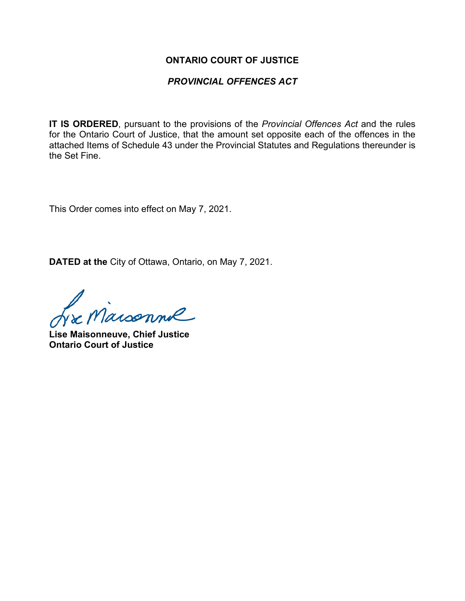#### **ONTARIO COURT OF JUSTICE**

### *PROVINCIAL OFFENCES ACT*

**IT IS ORDERED**, pursuant to the provisions of the *Provincial Offences Act* and the rules for the Ontario Court of Justice, that the amount set opposite each of the offences in the attached Items of Schedule 43 under the Provincial Statutes and Regulations thereunder is the Set Fine.

This Order comes into effect on May 7, 2021.

**DATED at the** City of Ottawa, Ontario, on May 7, 2021.

L'e Maisonne

**Lise Maisonneuve, Chief Justice Ontario Court of Justice**